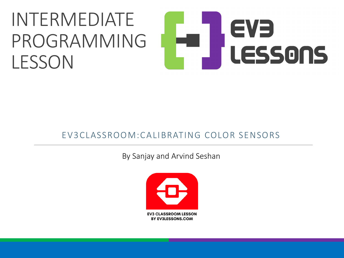### INTERMEDIATE EVE PROGRAMMING LESSONS **LESSON**

#### EV3CLASSROOM:CALIBRATING COLOR SENSORS

By Sanjay and Arvind Seshan

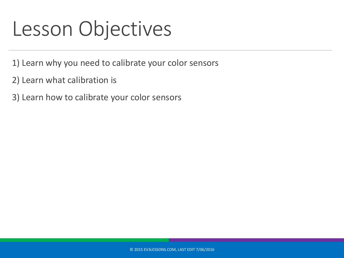### Lesson Objectives

- 1) Learn why you need to calibrate your color sensors
- 2) Learn what calibration is
- 3) Learn how to calibrate your color sensors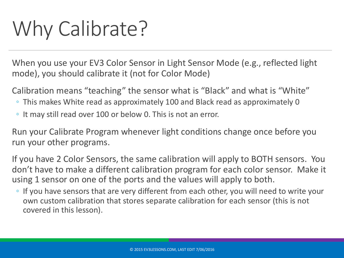## Why Calibrate?

When you use your EV3 Color Sensor in Light Sensor Mode (e.g., reflected light mode), you should calibrate it (not for Color Mode)

Calibration means "teaching" the sensor what is "Black" and what is "White"

- This makes White read as approximately 100 and Black read as approximately 0
- It may still read over 100 or below 0. This is not an error.

Run your Calibrate Program whenever light conditions change once before you run your other programs.

If you have 2 Color Sensors, the same calibration will apply to BOTH sensors. You don't have to make a different calibration program for each color sensor. Make it using 1 sensor on one of the ports and the values will apply to both.

◦ If you have sensors that are very different from each other, you will need to write your own custom calibration that stores separate calibration for each sensor (this is not covered in this lesson).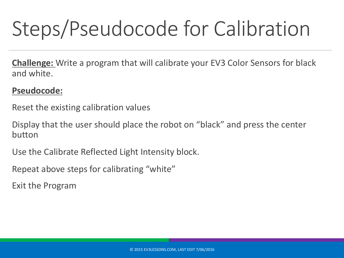# Steps/Pseudocode for Calibration

**Challenge:** Write a program that will calibrate your EV3 Color Sensors for black and white.

#### **Pseudocode:**

Reset the existing calibration values

Display that the user should place the robot on "black" and press the center button

Use the Calibrate Reflected Light Intensity block.

Repeat above steps for calibrating "white"

Exit the Program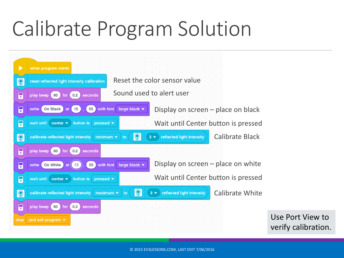## Calibrate Program Solution

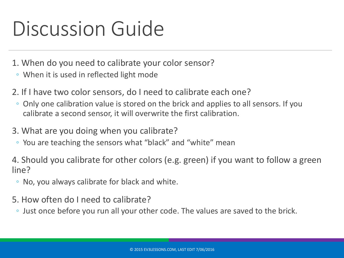## Discussion Guide

- 1. When do you need to calibrate your color sensor?
- When it is used in reflected light mode
- 2. If I have two color sensors, do I need to calibrate each one?
	- Only one calibration value is stored on the brick and applies to all sensors. If you calibrate a second sensor, it will overwrite the first calibration.
- 3. What are you doing when you calibrate?
	- You are teaching the sensors what "black" and "white" mean

4. Should you calibrate for other colors (e.g. green) if you want to follow a green line?

- No, you always calibrate for black and white.
- 5. How often do I need to calibrate?
	- Just once before you run all your other code. The values are saved to the brick.